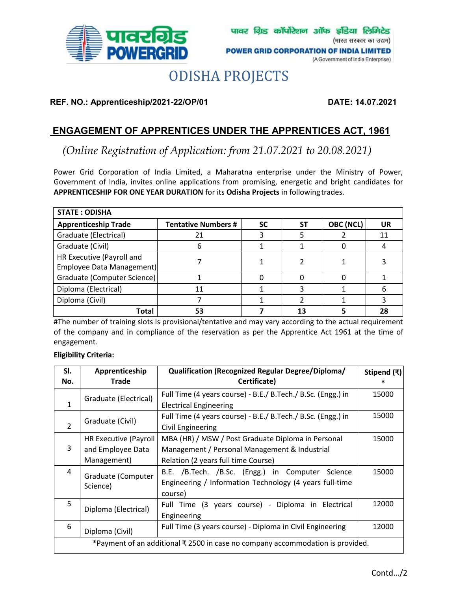

# ODISHA PROJECTS

**REF. NO.: Apprenticeship/2021-22/OP/01 DATE: 14.07.2021**

# **ENGAGEMENT OF APPRENTICES UNDER THE APPRENTICES ACT, 1961**

*[\(Online Registration of Application: from 21.07.2021 to 20.08.2021\)](https://govtjobsalert.in/)*

Power Grid Corporation of India Limited, a Maharatna enterprise under the Ministry of Power, Government of India, invites online applications from promising, energetic and bright candidates for **APPRENTICESHIP FOR ONE YEAR DURATION** for its **Odisha Projects** in followingtrades.

| <b>STATE: ODISHA</b>        |                            |           |           |           |    |  |  |
|-----------------------------|----------------------------|-----------|-----------|-----------|----|--|--|
| <b>Apprenticeship Trade</b> | <b>Tentative Numbers #</b> | <b>SC</b> | <b>ST</b> | OBC (NCL) | UR |  |  |
| Graduate (Electrical)       | 21                         | 3         |           |           | 11 |  |  |
| Graduate (Civil)            | b                          |           |           |           |    |  |  |
| HR Executive (Payroll and   |                            |           |           |           |    |  |  |
| Employee Data Management)   |                            |           |           |           |    |  |  |
| Graduate (Computer Science) |                            | 0         |           |           |    |  |  |
| Diploma (Electrical)        | 11                         |           |           |           | 6  |  |  |
| Diploma (Civil)             |                            |           |           |           |    |  |  |
| Total                       | 53                         |           |           |           | 28 |  |  |

#The number of training slots is provisional/tentative and may vary according to the actual requirement of the company and in compliance of the reservation as per the Apprentice Act 1961 at the time of engagement.

## **Eligibility Criteria:**

| SI.<br>No.                                                                     | Apprenticeship<br><b>Trade</b>                            | <b>Qualification (Recognized Regular Degree/Diploma/</b><br>Certificate)                                                                   | Stipend (₹) |  |  |
|--------------------------------------------------------------------------------|-----------------------------------------------------------|--------------------------------------------------------------------------------------------------------------------------------------------|-------------|--|--|
| $\mathbf{1}$                                                                   | Graduate (Electrical)                                     | Full Time (4 years course) - B.E./ B.Tech./ B.Sc. (Engg.) in<br><b>Electrical Engineering</b>                                              | 15000       |  |  |
| $\overline{2}$                                                                 | Graduate (Civil)                                          | Full Time (4 years course) - B.E./ B.Tech./ B.Sc. (Engg.) in<br>Civil Engineering                                                          | 15000       |  |  |
| 3                                                                              | HR Executive (Payroll<br>and Employee Data<br>Management) | MBA (HR) / MSW / Post Graduate Diploma in Personal<br>Management / Personal Management & Industrial<br>Relation (2 years full time Course) | 15000       |  |  |
| 4                                                                              | Graduate (Computer<br>Science)                            | B.E. /B.Tech. /B.Sc. (Engg.) in Computer Science<br>Engineering / Information Technology (4 years full-time<br>course)                     | 15000       |  |  |
| 5                                                                              | Diploma (Electrical)                                      | Full Time (3 years course) - Diploma in Electrical<br>Engineering                                                                          | 12000       |  |  |
| 6                                                                              | Diploma (Civil)                                           | Full Time (3 years course) - Diploma in Civil Engineering                                                                                  | 12000       |  |  |
| *Payment of an additional ₹ 2500 in case no company accommodation is provided. |                                                           |                                                                                                                                            |             |  |  |